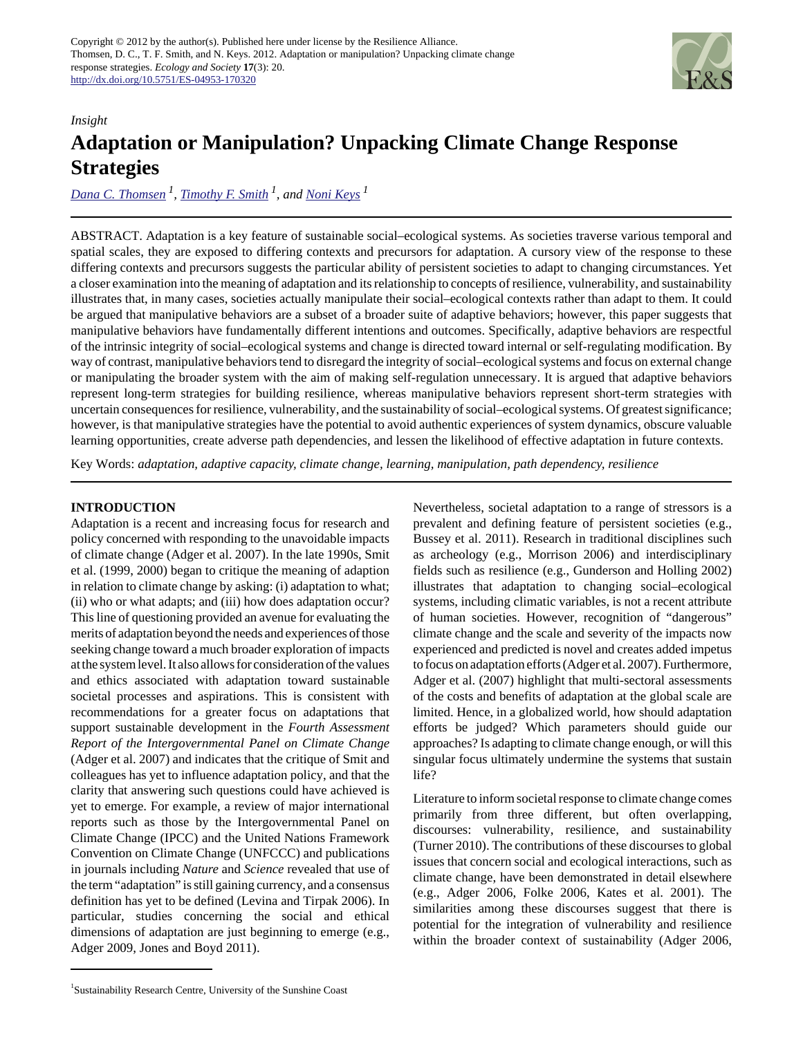

# *Insight* **Adaptation or Manipulation? Unpacking Climate Change Response Strategies**

*[Dana C. Thomsen](mailto:dthomsen@usc.edu.au)<sup>1</sup> , [Timothy F. Smith](mailto:tim.smith@usc.edu.au) 1, and [Noni Keys](mailto:nkeys@usc.edu.au)<sup>1</sup>*

ABSTRACT. Adaptation is a key feature of sustainable social–ecological systems. As societies traverse various temporal and spatial scales, they are exposed to differing contexts and precursors for adaptation. A cursory view of the response to these differing contexts and precursors suggests the particular ability of persistent societies to adapt to changing circumstances. Yet a closer examination into the meaning of adaptation and its relationship to concepts of resilience, vulnerability, and sustainability illustrates that, in many cases, societies actually manipulate their social–ecological contexts rather than adapt to them. It could be argued that manipulative behaviors are a subset of a broader suite of adaptive behaviors; however, this paper suggests that manipulative behaviors have fundamentally different intentions and outcomes. Specifically, adaptive behaviors are respectful of the intrinsic integrity of social–ecological systems and change is directed toward internal or self-regulating modification. By way of contrast, manipulative behaviors tend to disregard the integrity of social–ecological systems and focus on external change or manipulating the broader system with the aim of making self-regulation unnecessary. It is argued that adaptive behaviors represent long-term strategies for building resilience, whereas manipulative behaviors represent short-term strategies with uncertain consequences for resilience, vulnerability, and the sustainability of social–ecological systems. Of greatest significance; however, is that manipulative strategies have the potential to avoid authentic experiences of system dynamics, obscure valuable learning opportunities, create adverse path dependencies, and lessen the likelihood of effective adaptation in future contexts.

Key Words: *adaptation, adaptive capacity, climate change, learning, manipulation, path dependency, resilience*

# **INTRODUCTION**

Adaptation is a recent and increasing focus for research and policy concerned with responding to the unavoidable impacts of climate change (Adger et al. 2007). In the late 1990s, Smit et al. (1999, 2000) began to critique the meaning of adaption in relation to climate change by asking: (i) adaptation to what; (ii) who or what adapts; and (iii) how does adaptation occur? This line of questioning provided an avenue for evaluating the merits of adaptation beyond the needs and experiences of those seeking change toward a much broader exploration of impacts at the system level. It also allows for consideration of the values and ethics associated with adaptation toward sustainable societal processes and aspirations. This is consistent with recommendations for a greater focus on adaptations that support sustainable development in the *Fourth Assessment Report of the Intergovernmental Panel on Climate Change* (Adger et al. 2007) and indicates that the critique of Smit and colleagues has yet to influence adaptation policy, and that the clarity that answering such questions could have achieved is yet to emerge. For example, a review of major international reports such as those by the Intergovernmental Panel on Climate Change (IPCC) and the United Nations Framework Convention on Climate Change (UNFCCC) and publications in journals including *Nature* and *Science* revealed that use of the term "adaptation" is still gaining currency, and a consensus definition has yet to be defined (Levina and Tirpak 2006). In particular, studies concerning the social and ethical dimensions of adaptation are just beginning to emerge (e.g., Adger 2009, Jones and Boyd 2011).

Nevertheless, societal adaptation to a range of stressors is a prevalent and defining feature of persistent societies (e.g., Bussey et al. 2011). Research in traditional disciplines such as archeology (e.g., Morrison 2006) and interdisciplinary fields such as resilience (e.g., Gunderson and Holling 2002) illustrates that adaptation to changing social–ecological systems, including climatic variables, is not a recent attribute of human societies. However, recognition of "dangerous" climate change and the scale and severity of the impacts now experienced and predicted is novel and creates added impetus to focus on adaptation efforts (Adger et al. 2007). Furthermore, Adger et al. (2007) highlight that multi-sectoral assessments of the costs and benefits of adaptation at the global scale are limited. Hence, in a globalized world, how should adaptation efforts be judged? Which parameters should guide our approaches? Is adapting to climate change enough, or will this singular focus ultimately undermine the systems that sustain life?

Literature to inform societal response to climate change comes primarily from three different, but often overlapping, discourses: vulnerability, resilience, and sustainability (Turner 2010). The contributions of these discourses to global issues that concern social and ecological interactions, such as climate change, have been demonstrated in detail elsewhere (e.g., Adger 2006, Folke 2006, Kates et al. 2001). The similarities among these discourses suggest that there is potential for the integration of vulnerability and resilience within the broader context of sustainability (Adger 2006,

<sup>1</sup> Sustainability Research Centre, University of the Sunshine Coast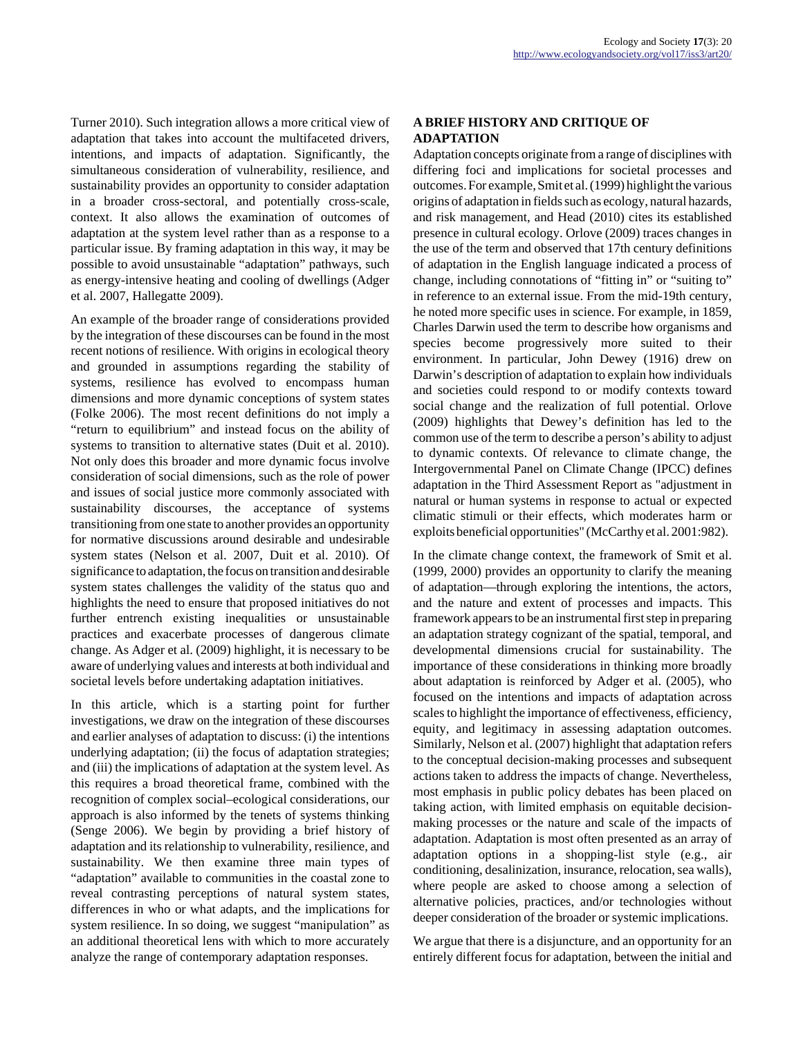Turner 2010). Such integration allows a more critical view of adaptation that takes into account the multifaceted drivers, intentions, and impacts of adaptation. Significantly, the simultaneous consideration of vulnerability, resilience, and sustainability provides an opportunity to consider adaptation in a broader cross-sectoral, and potentially cross-scale, context. It also allows the examination of outcomes of adaptation at the system level rather than as a response to a particular issue. By framing adaptation in this way, it may be possible to avoid unsustainable "adaptation" pathways, such as energy-intensive heating and cooling of dwellings (Adger et al. 2007, Hallegatte 2009).

An example of the broader range of considerations provided by the integration of these discourses can be found in the most recent notions of resilience. With origins in ecological theory and grounded in assumptions regarding the stability of systems, resilience has evolved to encompass human dimensions and more dynamic conceptions of system states (Folke 2006). The most recent definitions do not imply a "return to equilibrium" and instead focus on the ability of systems to transition to alternative states (Duit et al. 2010). Not only does this broader and more dynamic focus involve consideration of social dimensions, such as the role of power and issues of social justice more commonly associated with sustainability discourses, the acceptance of systems transitioning from one state to another provides an opportunity for normative discussions around desirable and undesirable system states (Nelson et al. 2007, Duit et al. 2010). Of significance to adaptation, the focus on transition and desirable system states challenges the validity of the status quo and highlights the need to ensure that proposed initiatives do not further entrench existing inequalities or unsustainable practices and exacerbate processes of dangerous climate change. As Adger et al. (2009) highlight, it is necessary to be aware of underlying values and interests at both individual and societal levels before undertaking adaptation initiatives.

In this article, which is a starting point for further investigations, we draw on the integration of these discourses and earlier analyses of adaptation to discuss: (i) the intentions underlying adaptation; (ii) the focus of adaptation strategies; and (iii) the implications of adaptation at the system level. As this requires a broad theoretical frame, combined with the recognition of complex social–ecological considerations, our approach is also informed by the tenets of systems thinking (Senge 2006). We begin by providing a brief history of adaptation and its relationship to vulnerability, resilience, and sustainability. We then examine three main types of "adaptation" available to communities in the coastal zone to reveal contrasting perceptions of natural system states, differences in who or what adapts, and the implications for system resilience. In so doing, we suggest "manipulation" as an additional theoretical lens with which to more accurately analyze the range of contemporary adaptation responses.

# **A BRIEF HISTORY AND CRITIQUE OF ADAPTATION**

Adaptation concepts originate from a range of disciplines with differing foci and implications for societal processes and outcomes. For example, Smit et al. (1999) highlight the various origins of adaptation in fields such as ecology, natural hazards, and risk management, and Head (2010) cites its established presence in cultural ecology. Orlove (2009) traces changes in the use of the term and observed that 17th century definitions of adaptation in the English language indicated a process of change, including connotations of "fitting in" or "suiting to" in reference to an external issue. From the mid-19th century, he noted more specific uses in science. For example, in 1859, Charles Darwin used the term to describe how organisms and species become progressively more suited to their environment. In particular, John Dewey (1916) drew on Darwin's description of adaptation to explain how individuals and societies could respond to or modify contexts toward social change and the realization of full potential. Orlove (2009) highlights that Dewey's definition has led to the common use of the term to describe a person's ability to adjust to dynamic contexts. Of relevance to climate change, the Intergovernmental Panel on Climate Change (IPCC) defines adaptation in the Third Assessment Report as "adjustment in natural or human systems in response to actual or expected climatic stimuli or their effects, which moderates harm or exploits beneficial opportunities" (McCarthy et al. 2001:982).

In the climate change context, the framework of Smit et al. (1999, 2000) provides an opportunity to clarify the meaning of adaptation—through exploring the intentions, the actors, and the nature and extent of processes and impacts. This framework appears to be an instrumental first step in preparing an adaptation strategy cognizant of the spatial, temporal, and developmental dimensions crucial for sustainability. The importance of these considerations in thinking more broadly about adaptation is reinforced by Adger et al. (2005), who focused on the intentions and impacts of adaptation across scales to highlight the importance of effectiveness, efficiency, equity, and legitimacy in assessing adaptation outcomes. Similarly, Nelson et al. (2007) highlight that adaptation refers to the conceptual decision-making processes and subsequent actions taken to address the impacts of change. Nevertheless, most emphasis in public policy debates has been placed on taking action, with limited emphasis on equitable decisionmaking processes or the nature and scale of the impacts of adaptation. Adaptation is most often presented as an array of adaptation options in a shopping-list style (e.g., air conditioning, desalinization, insurance, relocation, sea walls), where people are asked to choose among a selection of alternative policies, practices, and/or technologies without deeper consideration of the broader or systemic implications.

We argue that there is a disjuncture, and an opportunity for an entirely different focus for adaptation, between the initial and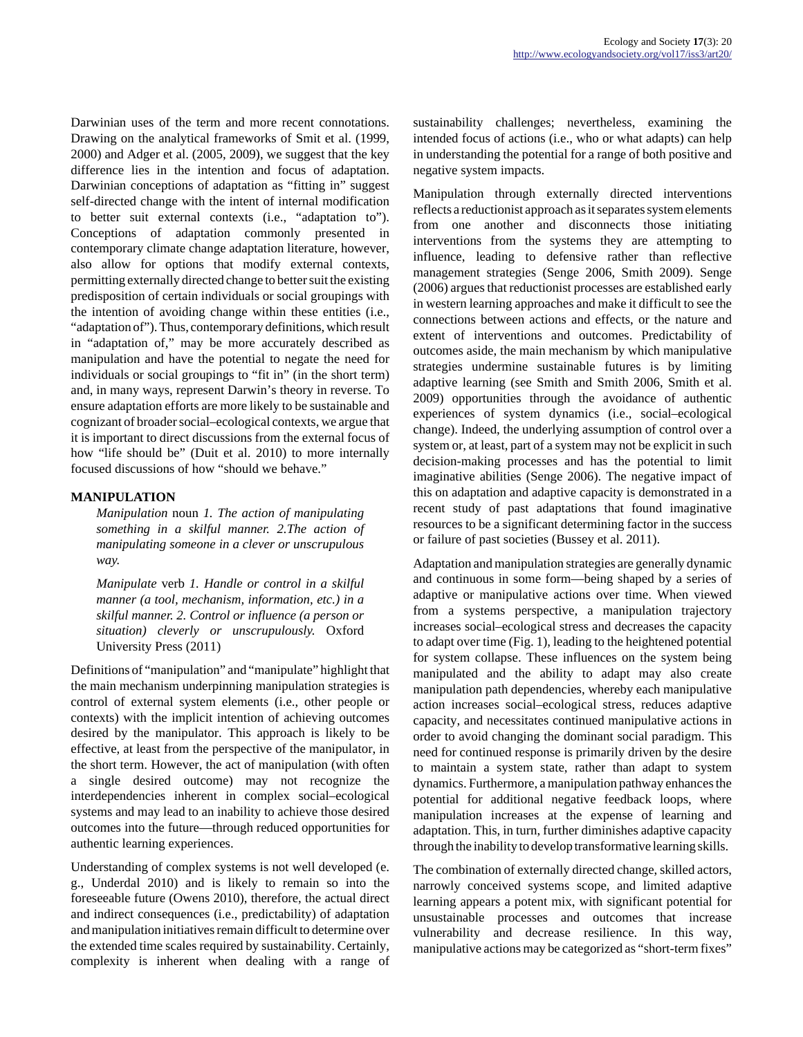Darwinian uses of the term and more recent connotations. Drawing on the analytical frameworks of Smit et al. (1999, 2000) and Adger et al. (2005, 2009), we suggest that the key difference lies in the intention and focus of adaptation. Darwinian conceptions of adaptation as "fitting in" suggest self-directed change with the intent of internal modification to better suit external contexts (i.e., "adaptation to"). Conceptions of adaptation commonly presented in contemporary climate change adaptation literature, however, also allow for options that modify external contexts, permitting externally directed change to better suit the existing predisposition of certain individuals or social groupings with the intention of avoiding change within these entities (i.e., "adaptation of"). Thus, contemporary definitions, which result in "adaptation of," may be more accurately described as manipulation and have the potential to negate the need for individuals or social groupings to "fit in" (in the short term) and, in many ways, represent Darwin's theory in reverse. To ensure adaptation efforts are more likely to be sustainable and cognizant of broader social–ecological contexts, we argue that it is important to direct discussions from the external focus of how "life should be" (Duit et al. 2010) to more internally focused discussions of how "should we behave."

## **MANIPULATION**

*Manipulation* noun *1. The action of manipulating something in a skilful manner. 2.The action of manipulating someone in a clever or unscrupulous way.* 

*Manipulate* verb *1. Handle or control in a skilful manner (a tool, mechanism, information, etc.) in a skilful manner. 2. Control or influence (a person or situation) cleverly or unscrupulously.* Oxford University Press (2011)

Definitions of "manipulation" and "manipulate" highlight that the main mechanism underpinning manipulation strategies is control of external system elements (i.e., other people or contexts) with the implicit intention of achieving outcomes desired by the manipulator. This approach is likely to be effective, at least from the perspective of the manipulator, in the short term. However, the act of manipulation (with often a single desired outcome) may not recognize the interdependencies inherent in complex social–ecological systems and may lead to an inability to achieve those desired outcomes into the future—through reduced opportunities for authentic learning experiences.

Understanding of complex systems is not well developed (e. g., Underdal 2010) and is likely to remain so into the foreseeable future (Owens 2010), therefore, the actual direct and indirect consequences (i.e., predictability) of adaptation and manipulation initiatives remain difficult to determine over the extended time scales required by sustainability. Certainly, complexity is inherent when dealing with a range of sustainability challenges; nevertheless, examining the intended focus of actions (i.e., who or what adapts) can help in understanding the potential for a range of both positive and negative system impacts.

Manipulation through externally directed interventions reflects a reductionist approach as it separates system elements from one another and disconnects those initiating interventions from the systems they are attempting to influence, leading to defensive rather than reflective management strategies (Senge 2006, Smith 2009). Senge (2006) argues that reductionist processes are established early in western learning approaches and make it difficult to see the connections between actions and effects, or the nature and extent of interventions and outcomes. Predictability of outcomes aside, the main mechanism by which manipulative strategies undermine sustainable futures is by limiting adaptive learning (see Smith and Smith 2006, Smith et al. 2009) opportunities through the avoidance of authentic experiences of system dynamics (i.e., social–ecological change). Indeed, the underlying assumption of control over a system or, at least, part of a system may not be explicit in such decision-making processes and has the potential to limit imaginative abilities (Senge 2006). The negative impact of this on adaptation and adaptive capacity is demonstrated in a recent study of past adaptations that found imaginative resources to be a significant determining factor in the success or failure of past societies (Bussey et al. 2011).

Adaptation and manipulation strategies are generally dynamic and continuous in some form—being shaped by a series of adaptive or manipulative actions over time. When viewed from a systems perspective, a manipulation trajectory increases social–ecological stress and decreases the capacity to adapt over time (Fig. 1), leading to the heightened potential for system collapse. These influences on the system being manipulated and the ability to adapt may also create manipulation path dependencies, whereby each manipulative action increases social–ecological stress, reduces adaptive capacity, and necessitates continued manipulative actions in order to avoid changing the dominant social paradigm. This need for continued response is primarily driven by the desire to maintain a system state, rather than adapt to system dynamics. Furthermore, a manipulation pathway enhances the potential for additional negative feedback loops, where manipulation increases at the expense of learning and adaptation. This, in turn, further diminishes adaptive capacity through the inability to develop transformative learning skills.

The combination of externally directed change, skilled actors, narrowly conceived systems scope, and limited adaptive learning appears a potent mix, with significant potential for unsustainable processes and outcomes that increase vulnerability and decrease resilience. In this way, manipulative actions may be categorized as "short-term fixes"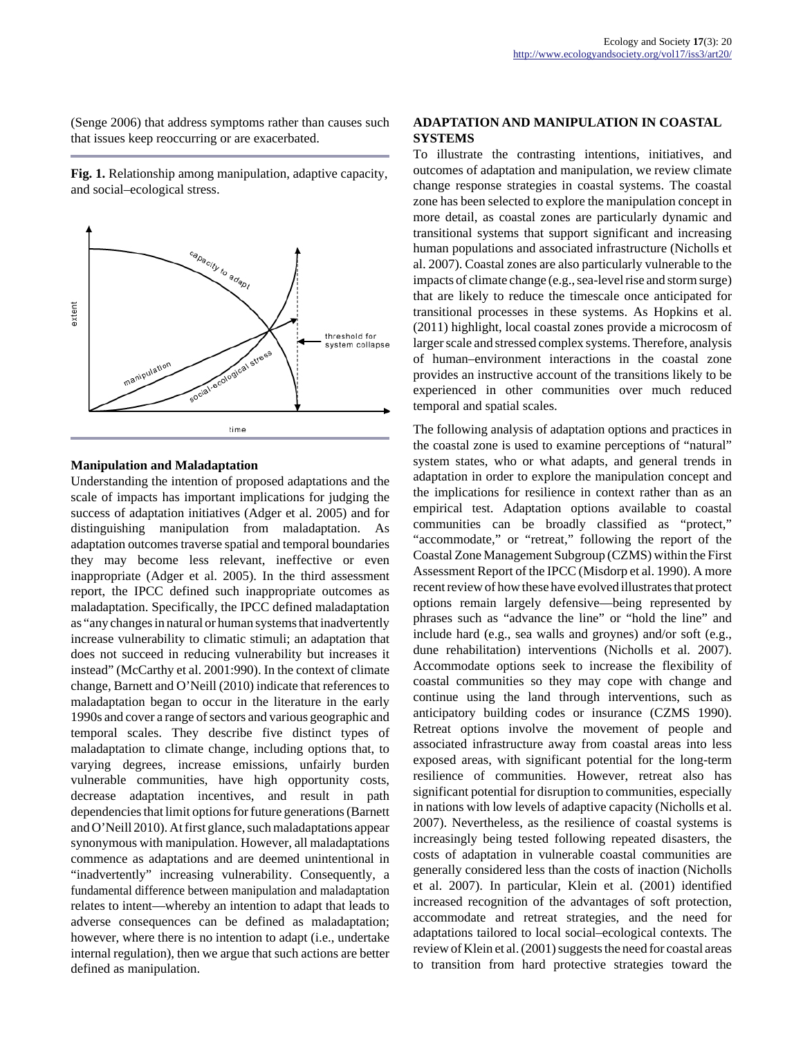(Senge 2006) that address symptoms rather than causes such that issues keep reoccurring or are exacerbated.

**Fig. 1.** Relationship among manipulation, adaptive capacity, and social–ecological stress.



## **Manipulation and Maladaptation**

Understanding the intention of proposed adaptations and the scale of impacts has important implications for judging the success of adaptation initiatives (Adger et al. 2005) and for distinguishing manipulation from maladaptation. As adaptation outcomes traverse spatial and temporal boundaries they may become less relevant, ineffective or even inappropriate (Adger et al. 2005). In the third assessment report, the IPCC defined such inappropriate outcomes as maladaptation. Specifically, the IPCC defined maladaptation as "any changes in natural or human systems that inadvertently increase vulnerability to climatic stimuli; an adaptation that does not succeed in reducing vulnerability but increases it instead" (McCarthy et al. 2001:990). In the context of climate change, Barnett and O'Neill (2010) indicate that references to maladaptation began to occur in the literature in the early 1990s and cover a range of sectors and various geographic and temporal scales. They describe five distinct types of maladaptation to climate change, including options that, to varying degrees, increase emissions, unfairly burden vulnerable communities, have high opportunity costs, decrease adaptation incentives, and result in path dependencies that limit options for future generations (Barnett and O'Neill 2010). At first glance, such maladaptations appear synonymous with manipulation. However, all maladaptations commence as adaptations and are deemed unintentional in "inadvertently" increasing vulnerability. Consequently, a fundamental difference between manipulation and maladaptation relates to intent—whereby an intention to adapt that leads to adverse consequences can be defined as maladaptation; however, where there is no intention to adapt (i.e., undertake internal regulation), then we argue that such actions are better defined as manipulation.

## **ADAPTATION AND MANIPULATION IN COASTAL SYSTEMS**

To illustrate the contrasting intentions, initiatives, and outcomes of adaptation and manipulation, we review climate change response strategies in coastal systems. The coastal zone has been selected to explore the manipulation concept in more detail, as coastal zones are particularly dynamic and transitional systems that support significant and increasing human populations and associated infrastructure (Nicholls et al. 2007). Coastal zones are also particularly vulnerable to the impacts of climate change (e.g., sea-level rise and storm surge) that are likely to reduce the timescale once anticipated for transitional processes in these systems. As Hopkins et al. (2011) highlight, local coastal zones provide a microcosm of larger scale and stressed complex systems. Therefore, analysis of human–environment interactions in the coastal zone provides an instructive account of the transitions likely to be experienced in other communities over much reduced temporal and spatial scales.

The following analysis of adaptation options and practices in the coastal zone is used to examine perceptions of "natural" system states, who or what adapts, and general trends in adaptation in order to explore the manipulation concept and the implications for resilience in context rather than as an empirical test. Adaptation options available to coastal communities can be broadly classified as "protect," "accommodate," or "retreat," following the report of the Coastal Zone Management Subgroup (CZMS) within the First Assessment Report of the IPCC (Misdorp et al. 1990). A more recent review of how these have evolved illustrates that protect options remain largely defensive—being represented by phrases such as "advance the line" or "hold the line" and include hard (e.g., sea walls and groynes) and/or soft (e.g., dune rehabilitation) interventions (Nicholls et al. 2007). Accommodate options seek to increase the flexibility of coastal communities so they may cope with change and continue using the land through interventions, such as anticipatory building codes or insurance (CZMS 1990). Retreat options involve the movement of people and associated infrastructure away from coastal areas into less exposed areas, with significant potential for the long-term resilience of communities. However, retreat also has significant potential for disruption to communities, especially in nations with low levels of adaptive capacity (Nicholls et al. 2007). Nevertheless, as the resilience of coastal systems is increasingly being tested following repeated disasters, the costs of adaptation in vulnerable coastal communities are generally considered less than the costs of inaction (Nicholls et al. 2007). In particular, Klein et al. (2001) identified increased recognition of the advantages of soft protection, accommodate and retreat strategies, and the need for adaptations tailored to local social–ecological contexts. The review of Klein et al. (2001) suggests the need for coastal areas to transition from hard protective strategies toward the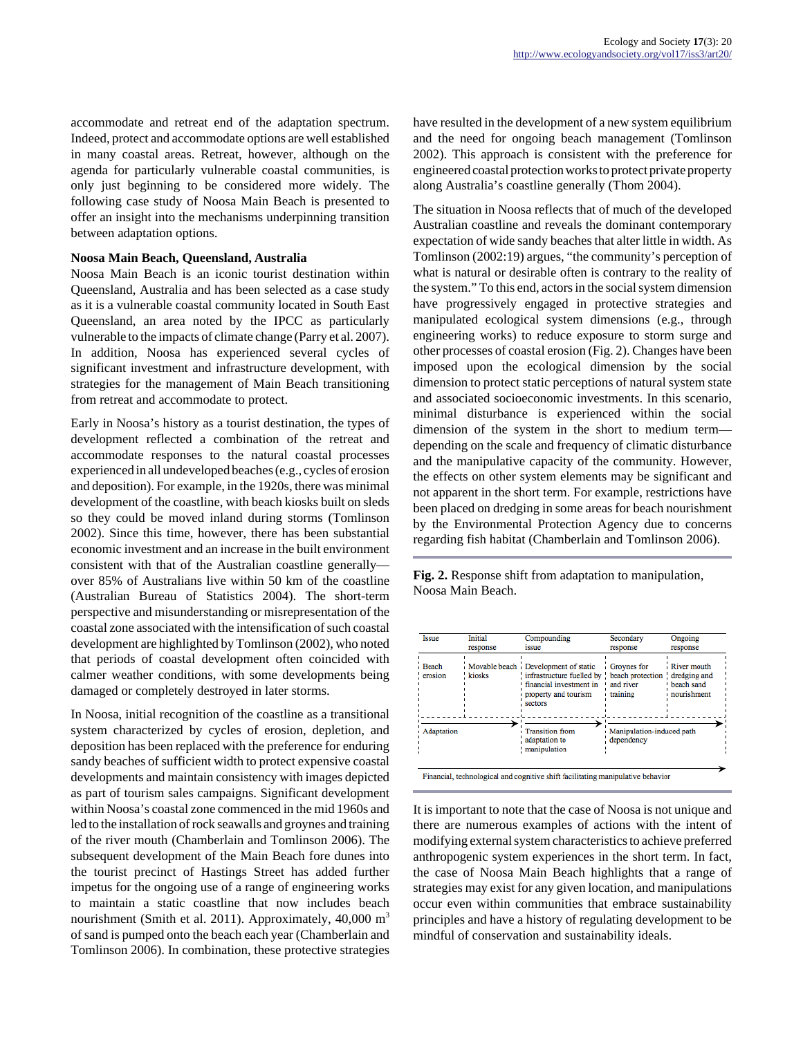accommodate and retreat end of the adaptation spectrum. Indeed, protect and accommodate options are well established in many coastal areas. Retreat, however, although on the agenda for particularly vulnerable coastal communities, is only just beginning to be considered more widely. The following case study of Noosa Main Beach is presented to offer an insight into the mechanisms underpinning transition between adaptation options.

#### **Noosa Main Beach, Queensland, Australia**

Noosa Main Beach is an iconic tourist destination within Queensland, Australia and has been selected as a case study as it is a vulnerable coastal community located in South East Queensland, an area noted by the IPCC as particularly vulnerable to the impacts of climate change (Parry et al. 2007). In addition, Noosa has experienced several cycles of significant investment and infrastructure development, with strategies for the management of Main Beach transitioning from retreat and accommodate to protect.

Early in Noosa's history as a tourist destination, the types of development reflected a combination of the retreat and accommodate responses to the natural coastal processes experienced in all undeveloped beaches (e.g., cycles of erosion and deposition). For example, in the 1920s, there was minimal development of the coastline, with beach kiosks built on sleds so they could be moved inland during storms (Tomlinson 2002). Since this time, however, there has been substantial economic investment and an increase in the built environment consistent with that of the Australian coastline generally over 85% of Australians live within 50 km of the coastline (Australian Bureau of Statistics 2004). The short-term perspective and misunderstanding or misrepresentation of the coastal zone associated with the intensification of such coastal development are highlighted by Tomlinson (2002), who noted that periods of coastal development often coincided with calmer weather conditions, with some developments being damaged or completely destroyed in later storms.

In Noosa, initial recognition of the coastline as a transitional system characterized by cycles of erosion, depletion, and deposition has been replaced with the preference for enduring sandy beaches of sufficient width to protect expensive coastal developments and maintain consistency with images depicted as part of tourism sales campaigns. Significant development within Noosa's coastal zone commenced in the mid 1960s and led to the installation of rock seawalls and groynes and training of the river mouth (Chamberlain and Tomlinson 2006). The subsequent development of the Main Beach fore dunes into the tourist precinct of Hastings Street has added further impetus for the ongoing use of a range of engineering works to maintain a static coastline that now includes beach nourishment (Smith et al. 2011). Approximately,  $40,000 \text{ m}^3$ of sand is pumped onto the beach each year (Chamberlain and Tomlinson 2006). In combination, these protective strategies have resulted in the development of a new system equilibrium and the need for ongoing beach management (Tomlinson 2002). This approach is consistent with the preference for engineered coastal protection works to protect private property along Australia's coastline generally (Thom 2004).

The situation in Noosa reflects that of much of the developed Australian coastline and reveals the dominant contemporary expectation of wide sandy beaches that alter little in width. As Tomlinson (2002:19) argues, "the community's perception of what is natural or desirable often is contrary to the reality of the system." To this end, actors in the social system dimension have progressively engaged in protective strategies and manipulated ecological system dimensions (e.g., through engineering works) to reduce exposure to storm surge and other processes of coastal erosion (Fig. 2). Changes have been imposed upon the ecological dimension by the social dimension to protect static perceptions of natural system state and associated socioeconomic investments. In this scenario, minimal disturbance is experienced within the social dimension of the system in the short to medium term depending on the scale and frequency of climatic disturbance and the manipulative capacity of the community. However, the effects on other system elements may be significant and not apparent in the short term. For example, restrictions have been placed on dredging in some areas for beach nourishment by the Environmental Protection Agency due to concerns regarding fish habitat (Chamberlain and Tomlinson 2006).

**Fig. 2.** Response shift from adaptation to manipulation, Noosa Main Beach.



It is important to note that the case of Noosa is not unique and there are numerous examples of actions with the intent of modifying external system characteristics to achieve preferred anthropogenic system experiences in the short term. In fact, the case of Noosa Main Beach highlights that a range of strategies may exist for any given location, and manipulations occur even within communities that embrace sustainability principles and have a history of regulating development to be mindful of conservation and sustainability ideals.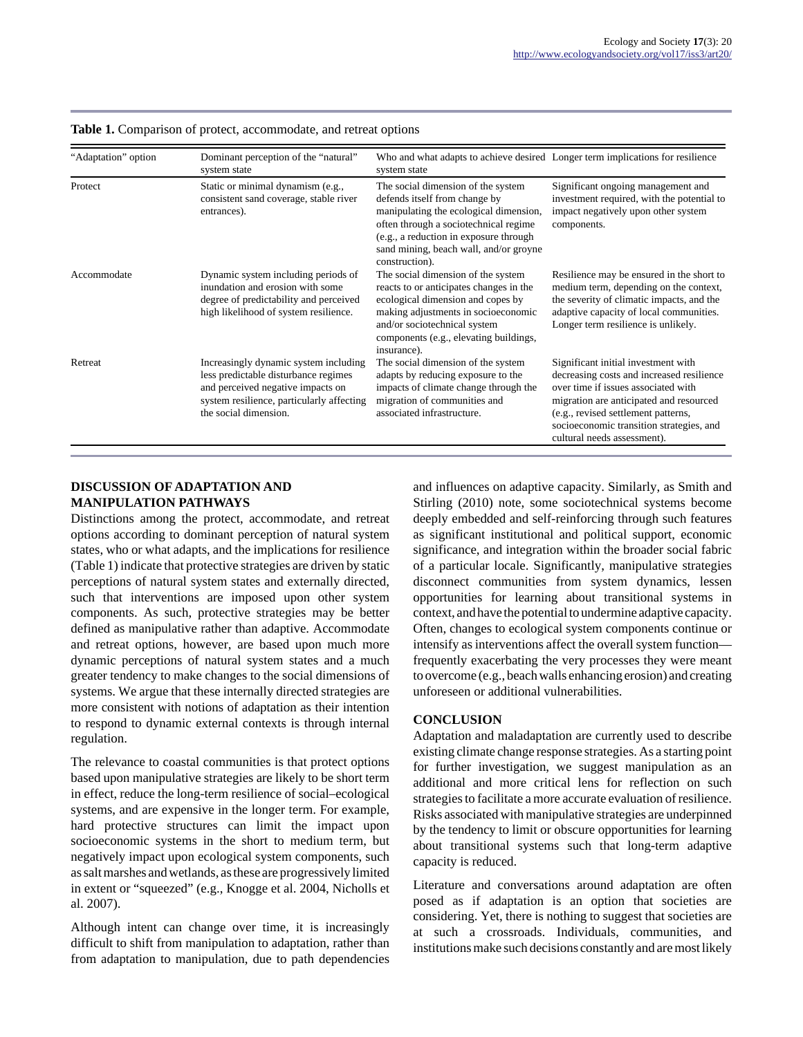| "Adaptation" option | Dominant perception of the "natural"<br>system state                                                                                                                                     | Who and what adapts to achieve desired Longer term implications for resilience<br>system state                                                                                                                                                               |                                                                                                                                                                                                                                                                                      |
|---------------------|------------------------------------------------------------------------------------------------------------------------------------------------------------------------------------------|--------------------------------------------------------------------------------------------------------------------------------------------------------------------------------------------------------------------------------------------------------------|--------------------------------------------------------------------------------------------------------------------------------------------------------------------------------------------------------------------------------------------------------------------------------------|
| Protect             | Static or minimal dynamism (e.g.,<br>consistent sand coverage, stable river<br>entrances).                                                                                               | The social dimension of the system<br>defends itself from change by<br>manipulating the ecological dimension,<br>often through a sociotechnical regime<br>(e.g., a reduction in exposure through<br>sand mining, beach wall, and/or groyne<br>construction). | Significant ongoing management and<br>investment required, with the potential to<br>impact negatively upon other system<br>components.                                                                                                                                               |
| Accommodate         | Dynamic system including periods of<br>inundation and erosion with some<br>degree of predictability and perceived<br>high likelihood of system resilience.                               | The social dimension of the system<br>reacts to or anticipates changes in the<br>ecological dimension and copes by<br>making adjustments in socioeconomic<br>and/or sociotechnical system<br>components (e.g., elevating buildings,<br>insurance).           | Resilience may be ensured in the short to<br>medium term, depending on the context,<br>the severity of climatic impacts, and the<br>adaptive capacity of local communities.<br>Longer term resilience is unlikely.                                                                   |
| Retreat             | Increasingly dynamic system including<br>less predictable disturbance regimes<br>and perceived negative impacts on<br>system resilience, particularly affecting<br>the social dimension. | The social dimension of the system<br>adapts by reducing exposure to the<br>impacts of climate change through the<br>migration of communities and<br>associated infrastructure.                                                                              | Significant initial investment with<br>decreasing costs and increased resilience<br>over time if issues associated with<br>migration are anticipated and resourced<br>(e.g., revised settlement patterns,<br>socioeconomic transition strategies, and<br>cultural needs assessment). |

**Table 1.** Comparison of protect, accommodate, and retreat options

## **DISCUSSION OF ADAPTATION AND MANIPULATION PATHWAYS**

Distinctions among the protect, accommodate, and retreat options according to dominant perception of natural system states, who or what adapts, and the implications for resilience (Table 1) indicate that protective strategies are driven by static perceptions of natural system states and externally directed, such that interventions are imposed upon other system components. As such, protective strategies may be better defined as manipulative rather than adaptive. Accommodate and retreat options, however, are based upon much more dynamic perceptions of natural system states and a much greater tendency to make changes to the social dimensions of systems. We argue that these internally directed strategies are more consistent with notions of adaptation as their intention to respond to dynamic external contexts is through internal regulation.

The relevance to coastal communities is that protect options based upon manipulative strategies are likely to be short term in effect, reduce the long-term resilience of social–ecological systems, and are expensive in the longer term. For example, hard protective structures can limit the impact upon socioeconomic systems in the short to medium term, but negatively impact upon ecological system components, such as salt marshes and wetlands, as these are progressively limited in extent or "squeezed" (e.g., Knogge et al. 2004, Nicholls et al. 2007).

Although intent can change over time, it is increasingly difficult to shift from manipulation to adaptation, rather than from adaptation to manipulation, due to path dependencies and influences on adaptive capacity. Similarly, as Smith and Stirling (2010) note, some sociotechnical systems become deeply embedded and self-reinforcing through such features as significant institutional and political support, economic significance, and integration within the broader social fabric of a particular locale. Significantly, manipulative strategies disconnect communities from system dynamics, lessen opportunities for learning about transitional systems in context, and have the potential to undermine adaptive capacity. Often, changes to ecological system components continue or intensify as interventions affect the overall system function frequently exacerbating the very processes they were meant to overcome (e.g., beach walls enhancing erosion) and creating unforeseen or additional vulnerabilities.

## **CONCLUSION**

Adaptation and maladaptation are currently used to describe existing climate change response strategies. As a starting point for further investigation, we suggest manipulation as an additional and more critical lens for reflection on such strategies to facilitate a more accurate evaluation of resilience. Risks associated with manipulative strategies are underpinned by the tendency to limit or obscure opportunities for learning about transitional systems such that long-term adaptive capacity is reduced.

Literature and conversations around adaptation are often posed as if adaptation is an option that societies are considering. Yet, there is nothing to suggest that societies are at such a crossroads. Individuals, communities, and institutions make such decisions constantly and are most likely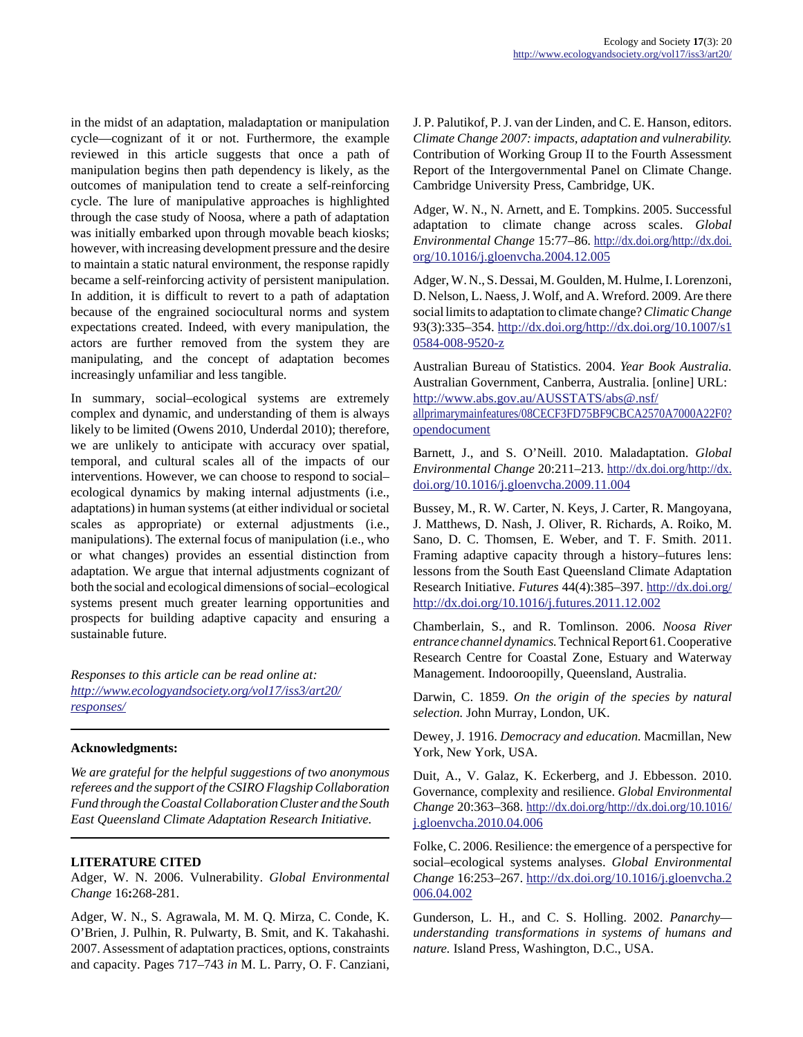in the midst of an adaptation, maladaptation or manipulation cycle—cognizant of it or not. Furthermore, the example reviewed in this article suggests that once a path of manipulation begins then path dependency is likely, as the outcomes of manipulation tend to create a self-reinforcing cycle. The lure of manipulative approaches is highlighted through the case study of Noosa, where a path of adaptation was initially embarked upon through movable beach kiosks; however, with increasing development pressure and the desire to maintain a static natural environment, the response rapidly became a self-reinforcing activity of persistent manipulation. In addition, it is difficult to revert to a path of adaptation because of the engrained sociocultural norms and system expectations created. Indeed, with every manipulation, the actors are further removed from the system they are manipulating, and the concept of adaptation becomes increasingly unfamiliar and less tangible.

In summary, social–ecological systems are extremely complex and dynamic, and understanding of them is always likely to be limited (Owens 2010, Underdal 2010); therefore, we are unlikely to anticipate with accuracy over spatial, temporal, and cultural scales all of the impacts of our interventions. However, we can choose to respond to social– ecological dynamics by making internal adjustments (i.e., adaptations) in human systems (at either individual or societal scales as appropriate) or external adjustments (i.e., manipulations). The external focus of manipulation (i.e., who or what changes) provides an essential distinction from adaptation. We argue that internal adjustments cognizant of both the social and ecological dimensions of social–ecological systems present much greater learning opportunities and prospects for building adaptive capacity and ensuring a sustainable future.

*Responses to this article can be read online at: [http://www](http://www.ecologyandsociety.org/vol17/iss3/art20/responses/).ecologyandsociety.org/vol17/iss3/art20/ responses/*

## **Acknowledgments:**

*We are grateful for the helpful suggestions of two anonymous referees and the support of the CSIRO Flagship Collaboration Fund through the Coastal Collaboration Cluster and the South East Queensland Climate Adaptation Research Initiative.*

## **LITERATURE CITED**

Adger, W. N. 2006. Vulnerability. *Global Environmental Change* 16**:**268-281.

Adger, W. N., S. Agrawala, M. M. Q. Mirza, C. Conde, K. O'Brien, J. Pulhin, R. Pulwarty, B. Smit, and K. Takahashi. 2007. Assessment of adaptation practices, options, constraints and capacity. Pages 717–743 *in* M. L. Parry, O. F. Canziani, J. P. Palutikof, P. J. van der Linden, and C. E. Hanson, editors. *Climate Change 2007: impacts, adaptation and vulnerability.* Contribution of Working Group II to the Fourth Assessment Report of the Intergovernmental Panel on Climate Change. Cambridge University Press, Cambridge, UK.

Adger, W. N., N. Arnett, and E. Tompkins. 2005. Successful adaptation to climate change across scales. *Global Environmental Change* 15:77–86. [http://dx.doi.org/http://dx.doi.](http://dx.doi.org/http://dx.doi.org/10.1016/j.gloenvcha.2004.12.005) [org/10.1016/j.gloenvcha.2004.12.005](http://dx.doi.org/http://dx.doi.org/10.1016/j.gloenvcha.2004.12.005)

Adger, W. N., S. Dessai, M. Goulden, M. Hulme, I. Lorenzoni, D. Nelson, L. Naess, J. Wolf, and A. Wreford. 2009. Are there social limits to adaptation to climate change? *Climatic Change* 93(3):335–354. [http://dx.doi.org/http://dx.doi.org/10.1007/s1](http://dx.doi.org/http://dx.doi.org/10.1007/s10584-008-9520-z) [0584-008-9520-z](http://dx.doi.org/http://dx.doi.org/10.1007/s10584-008-9520-z)

Australian Bureau of Statistics. 2004. *Year Book Australia.* Australian Government, Canberra, Australia. [online] URL: [http://www.abs.gov.au/AUSSTATS/abs@.nsf/](http://www.abs.gov.au/AUSSTATS/abs@.nsf/allprimarymainfeatures/08CECF3FD75BF9CBCA2570A7000A22F0?opendocument)

[allprimarymainfeatures/08CECF3FD75BF9CBCA2570A7000A22F0?](http://www.abs.gov.au/AUSSTATS/abs@.nsf/allprimarymainfeatures/08CECF3FD75BF9CBCA2570A7000A22F0?opendocument) [opendocument](http://www.abs.gov.au/AUSSTATS/abs@.nsf/allprimarymainfeatures/08CECF3FD75BF9CBCA2570A7000A22F0?opendocument)

Barnett, J., and S. O'Neill. 2010. Maladaptation. *Global Environmental Change* 20:211–213. [http://dx.doi.org/http://dx.](http://dx.doi.org/http://dx.doi.org/10.1016/j.gloenvcha.2009.11.004) [doi.org/10.1016/j.gloenvcha.2009.11.004](http://dx.doi.org/http://dx.doi.org/10.1016/j.gloenvcha.2009.11.004)

Bussey, M., R. W. Carter, N. Keys, J. Carter, R. Mangoyana, J. Matthews, D. Nash, J. Oliver, R. Richards, A. Roiko, M. Sano, D. C. Thomsen, E. Weber, and T. F. Smith. 2011. Framing adaptive capacity through a history–futures lens: lessons from the South East Queensland Climate Adaptation Research Initiative. *Futures* 44(4):385–397. [http://dx.doi.org/](http://dx.doi.org/http://dx.doi.org/10.1016/j.futures.2011.12.002) [http://dx.doi.org/10.1016/j.futures.2011.12.002](http://dx.doi.org/http://dx.doi.org/10.1016/j.futures.2011.12.002)

Chamberlain, S., and R. Tomlinson. 2006. *Noosa River entrance channel dynamics.* Technical Report 61. Cooperative Research Centre for Coastal Zone, Estuary and Waterway Management. Indooroopilly, Queensland, Australia.

Darwin, C. 1859. *On the origin of the species by natural selection.* John Murray, London, UK.

Dewey, J. 1916. *Democracy and education.* Macmillan, New York, New York, USA.

Duit, A., V. Galaz, K. Eckerberg, and J. Ebbesson. 2010. Governance, complexity and resilience. *Global Environmental Change* 20:363–368. [http://dx.doi.org/http://dx.doi.org/10.1016/](http://dx.doi.org/http://dx.doi.org/10.1016/j.gloenvcha.2010.04.006) [j.gloenvcha.2010.04.006](http://dx.doi.org/http://dx.doi.org/10.1016/j.gloenvcha.2010.04.006)

Folke, C. 2006. Resilience: the emergence of a perspective for social–ecological systems analyses. *Global Environmental Change* 16:253–267. [http://dx.doi.org/10.1016/j.gloenvcha.2](http://dx.doi.org/10.1016/j.gloenvcha.2006.04.002) [006.04.002](http://dx.doi.org/10.1016/j.gloenvcha.2006.04.002)

Gunderson, L. H., and C. S. Holling. 2002. *Panarchy understanding transformations in systems of humans and nature.* Island Press, Washington, D.C., USA.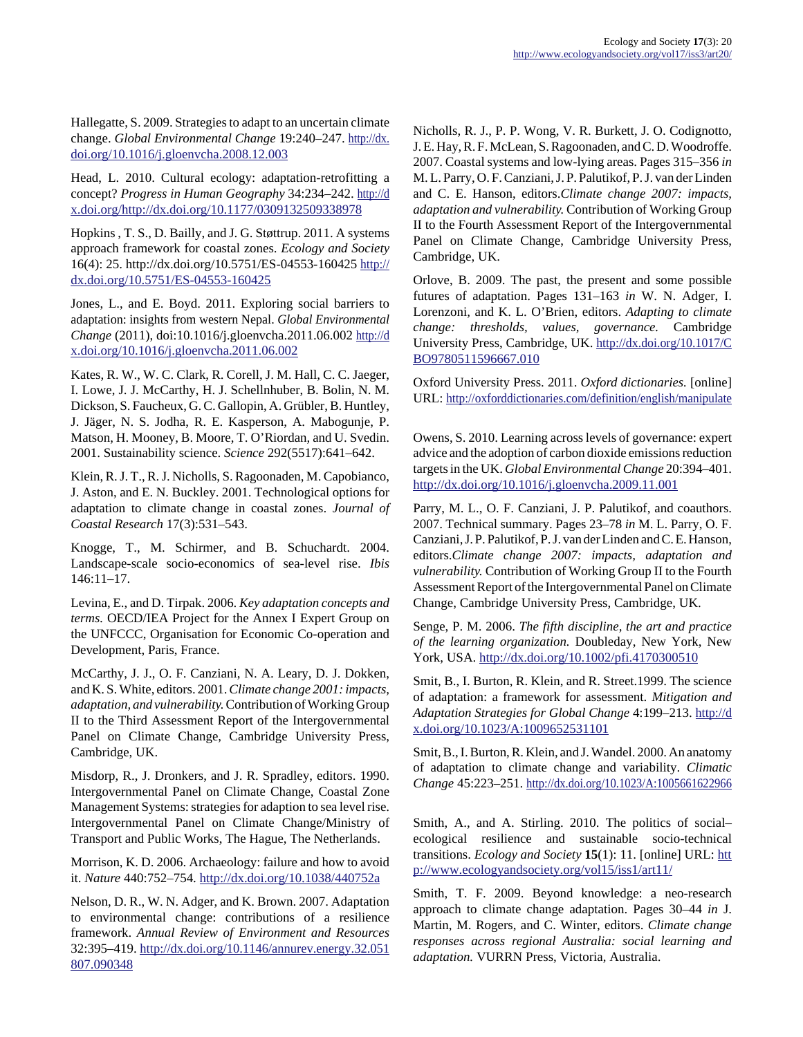Hallegatte, S. 2009. Strategies to adapt to an uncertain climate change. *Global Environmental Change* 19:240–247. [http://dx.](http://dx.doi.org/10.1016/j.gloenvcha.2008.12.003) [doi.org/10.1016/j.gloenvcha.2008.12.003](http://dx.doi.org/10.1016/j.gloenvcha.2008.12.003)

Head, L. 2010. Cultural ecology: adaptation-retrofitting a concept? *Progress in Human Geography* 34:234–242. [http://d](http://dx.doi.org/http://dx.doi.org/10.1177/0309132509338978) [x.doi.org/http://dx.doi.org/10.1177/0309132509338978](http://dx.doi.org/http://dx.doi.org/10.1177/0309132509338978)

Hopkins , T. S., D. Bailly, and J. G. Støttrup. 2011. A systems approach framework for coastal zones. *Ecology and Society* 16(4): 25. http://dx.doi.org/10.5751/ES-04553-160425 [http://](http://dx.doi.org/10.5751/ES-04553-160425) [dx.doi.org/10.5751/ES-04553-160425](http://dx.doi.org/10.5751/ES-04553-160425)

Jones, L., and E. Boyd. 2011. Exploring social barriers to adaptation: insights from western Nepal. *Global Environmental Change* (2011), doi:10.1016/j.gloenvcha.2011.06.002 [http://d](http://dx.doi.org/10.1016/j.gloenvcha.2011.06.002) [x.doi.org/10.1016/j.gloenvcha.2011.06.002](http://dx.doi.org/10.1016/j.gloenvcha.2011.06.002)

Kates, R. W., W. C. Clark, R. Corell, J. M. Hall, C. C. Jaeger, I. Lowe, J. J. McCarthy, H. J. Schellnhuber, B. Bolin, N. M. Dickson, S. Faucheux, G. C. Gallopin, A. Grübler, B. Huntley, J. Jäger, N. S. Jodha, R. E. Kasperson, A. Mabogunje, P. Matson, H. Mooney, B. Moore, T. O'Riordan, and U. Svedin. 2001. Sustainability science. *Science* 292(5517):641–642.

Klein, R. J. T., R. J. Nicholls, S. Ragoonaden, M. Capobianco, J. Aston, and E. N. Buckley. 2001. Technological options for adaptation to climate change in coastal zones. *Journal of Coastal Research* 17(3):531–543.

Knogge, T., M. Schirmer, and B. Schuchardt. 2004. Landscape-scale socio-economics of sea-level rise. *Ibis* 146:11–17.

Levina, E., and D. Tirpak. 2006. *Key adaptation concepts and terms.* OECD/IEA Project for the Annex I Expert Group on the UNFCCC, Organisation for Economic Co-operation and Development, Paris, France.

McCarthy, J. J., O. F. Canziani, N. A. Leary, D. J. Dokken, and K. S. White, editors. 2001. *Climate change 2001: impacts, adaptation, and vulnerability.* Contribution of Working Group II to the Third Assessment Report of the Intergovernmental Panel on Climate Change, Cambridge University Press, Cambridge, UK.

Misdorp, R., J. Dronkers, and J. R. Spradley, editors. 1990. Intergovernmental Panel on Climate Change, Coastal Zone Management Systems: strategies for adaption to sea level rise. Intergovernmental Panel on Climate Change/Ministry of Transport and Public Works, The Hague, The Netherlands.

Morrison, K. D. 2006. Archaeology: failure and how to avoid it. *Nature* 440:752–754.<http://dx.doi.org/10.1038/440752a>

Nelson, D. R., W. N. Adger, and K. Brown. 2007. Adaptation to environmental change: contributions of a resilience framework. *Annual Review of Environment and Resources* 32:395–419. [http://dx.doi.org/10.1146/annurev.energy.32.051](http://dx.doi.org/10.1146/annurev.energy.32.051807.090348) [807.090348](http://dx.doi.org/10.1146/annurev.energy.32.051807.090348)

Nicholls, R. J., P. P. Wong, V. R. Burkett, J. O. Codignotto, J. E. Hay, R. F. McLean, S. Ragoonaden, and C. D. Woodroffe. 2007. Coastal systems and low-lying areas. Pages 315–356 *in* M. L. Parry, O. F. Canziani, J. P. Palutikof, P. J. van der Linden and C. E. Hanson, editors.*Climate change 2007: impacts, adaptation and vulnerability.* Contribution of Working Group II to the Fourth Assessment Report of the Intergovernmental Panel on Climate Change, Cambridge University Press, Cambridge, UK.

Orlove, B. 2009. The past, the present and some possible futures of adaptation. Pages 131–163 *in* W. N. Adger, I. Lorenzoni, and K. L. O'Brien, editors. *Adapting to climate change: thresholds, values, governance.* Cambridge University Press, Cambridge, UK. [http://dx.doi.org/10.1017/C](http://dx.doi.org/10.1017/CBO9780511596667.010) [BO9780511596667.010](http://dx.doi.org/10.1017/CBO9780511596667.010)

Oxford University Press. 2011. *Oxford dictionaries.* [online] URL:<http://oxforddictionaries.com/definition/english/manipulate>

Owens, S. 2010. Learning across levels of governance: expert advice and the adoption of carbon dioxide emissions reduction targets in the UK. *Global Environmental Change* 20:394–401. <http://dx.doi.org/10.1016/j.gloenvcha.2009.11.001>

Parry, M. L., O. F. Canziani, J. P. Palutikof, and coauthors. 2007. Technical summary. Pages 23–78 *in* M. L. Parry, O. F. Canziani, J. P. Palutikof, P. J. van der Linden and C. E. Hanson, editors.*Climate change 2007: impacts, adaptation and vulnerability.* Contribution of Working Group II to the Fourth Assessment Report of the Intergovernmental Panel on Climate Change, Cambridge University Press, Cambridge, UK.

Senge, P. M. 2006. *The fifth discipline, the art and practice of the learning organization.* Doubleday, New York, New York, USA. <http://dx.doi.org/10.1002/pfi.4170300510>

Smit, B., I. Burton, R. Klein, and R. Street.1999. The science of adaptation: a framework for assessment. *Mitigation and Adaptation Strategies for Global Change* 4:199–213. [http://d](http://dx.doi.org/10.1023/A:1009652531101) [x.doi.org/10.1023/A:1009652531101](http://dx.doi.org/10.1023/A:1009652531101)

Smit, B., I. Burton, R. Klein, and J. Wandel. 2000. An anatomy of adaptation to climate change and variability. *Climatic Change* 45:223–251.<http://dx.doi.org/10.1023/A:1005661622966>

Smith, A., and A. Stirling. 2010. The politics of social– ecological resilience and sustainable socio-technical transitions. *Ecology and Society* **15**(1): 11. [online] URL: [htt](http://www.ecologyandsociety.org/vol15/iss1/art11/) [p://www.ecologyandsociety.org/vol15/iss1/art11/](http://www.ecologyandsociety.org/vol15/iss1/art11/)

Smith, T. F. 2009. Beyond knowledge: a neo-research approach to climate change adaptation. Pages 30–44 *in* J. Martin, M. Rogers, and C. Winter, editors. *Climate change responses across regional Australia: social learning and adaptation.* VURRN Press, Victoria, Australia.